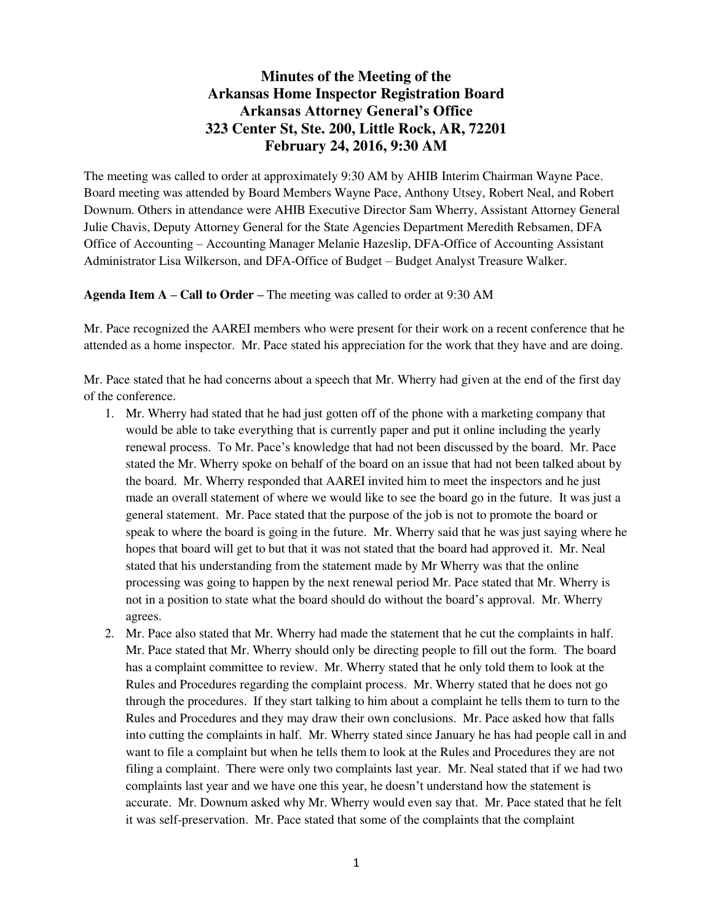# **Minutes of the Meeting of the Arkansas Home Inspector Registration Board Arkansas Attorney General's Office 323 Center St, Ste. 200, Little Rock, AR, 72201 February 24, 2016, 9:30 AM**

The meeting was called to order at approximately 9:30 AM by AHIB Interim Chairman Wayne Pace. Board meeting was attended by Board Members Wayne Pace, Anthony Utsey, Robert Neal, and Robert Downum. Others in attendance were AHIB Executive Director Sam Wherry, Assistant Attorney General Julie Chavis, Deputy Attorney General for the State Agencies Department Meredith Rebsamen, DFA Office of Accounting – Accounting Manager Melanie Hazeslip, DFA-Office of Accounting Assistant Administrator Lisa Wilkerson, and DFA-Office of Budget – Budget Analyst Treasure Walker.

#### **Agenda Item A – Call to Order –** The meeting was called to order at 9:30 AM

Mr. Pace recognized the AAREI members who were present for their work on a recent conference that he attended as a home inspector. Mr. Pace stated his appreciation for the work that they have and are doing.

Mr. Pace stated that he had concerns about a speech that Mr. Wherry had given at the end of the first day of the conference.

- 1. Mr. Wherry had stated that he had just gotten off of the phone with a marketing company that would be able to take everything that is currently paper and put it online including the yearly renewal process. To Mr. Pace's knowledge that had not been discussed by the board. Mr. Pace stated the Mr. Wherry spoke on behalf of the board on an issue that had not been talked about by the board. Mr. Wherry responded that AAREI invited him to meet the inspectors and he just made an overall statement of where we would like to see the board go in the future. It was just a general statement. Mr. Pace stated that the purpose of the job is not to promote the board or speak to where the board is going in the future. Mr. Wherry said that he was just saying where he hopes that board will get to but that it was not stated that the board had approved it. Mr. Neal stated that his understanding from the statement made by Mr Wherry was that the online processing was going to happen by the next renewal period Mr. Pace stated that Mr. Wherry is not in a position to state what the board should do without the board's approval. Mr. Wherry agrees.
- 2. Mr. Pace also stated that Mr. Wherry had made the statement that he cut the complaints in half. Mr. Pace stated that Mr. Wherry should only be directing people to fill out the form. The board has a complaint committee to review. Mr. Wherry stated that he only told them to look at the Rules and Procedures regarding the complaint process. Mr. Wherry stated that he does not go through the procedures. If they start talking to him about a complaint he tells them to turn to the Rules and Procedures and they may draw their own conclusions. Mr. Pace asked how that falls into cutting the complaints in half. Mr. Wherry stated since January he has had people call in and want to file a complaint but when he tells them to look at the Rules and Procedures they are not filing a complaint. There were only two complaints last year. Mr. Neal stated that if we had two complaints last year and we have one this year, he doesn't understand how the statement is accurate. Mr. Downum asked why Mr. Wherry would even say that. Mr. Pace stated that he felt it was self-preservation. Mr. Pace stated that some of the complaints that the complaint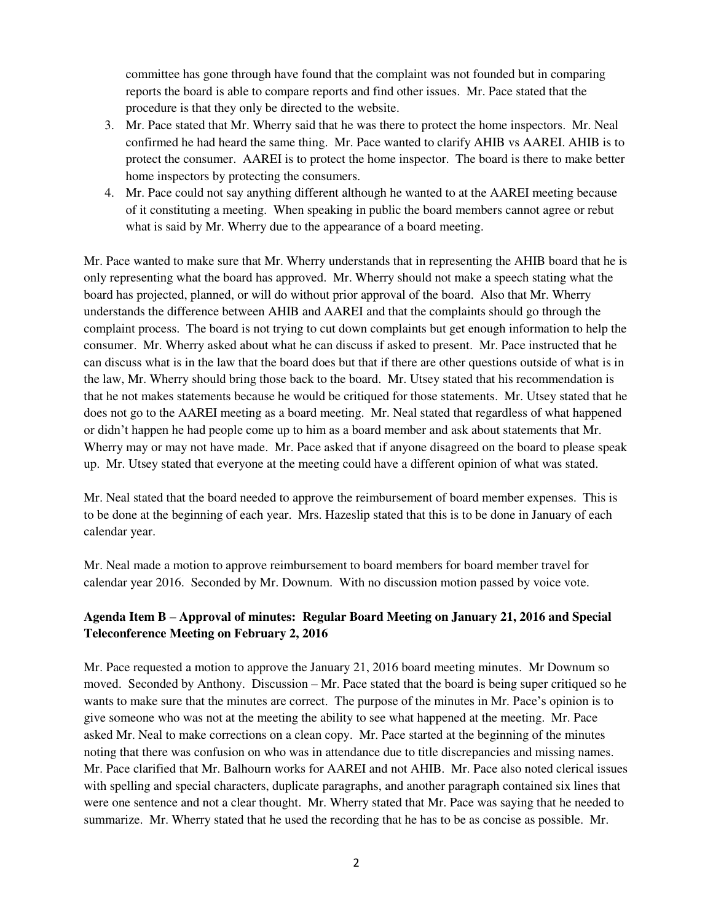committee has gone through have found that the complaint was not founded but in comparing reports the board is able to compare reports and find other issues. Mr. Pace stated that the procedure is that they only be directed to the website.

- 3. Mr. Pace stated that Mr. Wherry said that he was there to protect the home inspectors. Mr. Neal confirmed he had heard the same thing. Mr. Pace wanted to clarify AHIB vs AAREI. AHIB is to protect the consumer. AAREI is to protect the home inspector. The board is there to make better home inspectors by protecting the consumers.
- 4. Mr. Pace could not say anything different although he wanted to at the AAREI meeting because of it constituting a meeting. When speaking in public the board members cannot agree or rebut what is said by Mr. Wherry due to the appearance of a board meeting.

Mr. Pace wanted to make sure that Mr. Wherry understands that in representing the AHIB board that he is only representing what the board has approved. Mr. Wherry should not make a speech stating what the board has projected, planned, or will do without prior approval of the board. Also that Mr. Wherry understands the difference between AHIB and AAREI and that the complaints should go through the complaint process. The board is not trying to cut down complaints but get enough information to help the consumer. Mr. Wherry asked about what he can discuss if asked to present. Mr. Pace instructed that he can discuss what is in the law that the board does but that if there are other questions outside of what is in the law, Mr. Wherry should bring those back to the board. Mr. Utsey stated that his recommendation is that he not makes statements because he would be critiqued for those statements. Mr. Utsey stated that he does not go to the AAREI meeting as a board meeting. Mr. Neal stated that regardless of what happened or didn't happen he had people come up to him as a board member and ask about statements that Mr. Wherry may or may not have made. Mr. Pace asked that if anyone disagreed on the board to please speak up. Mr. Utsey stated that everyone at the meeting could have a different opinion of what was stated.

Mr. Neal stated that the board needed to approve the reimbursement of board member expenses. This is to be done at the beginning of each year. Mrs. Hazeslip stated that this is to be done in January of each calendar year.

Mr. Neal made a motion to approve reimbursement to board members for board member travel for calendar year 2016. Seconded by Mr. Downum. With no discussion motion passed by voice vote.

## **Agenda Item B – Approval of minutes: Regular Board Meeting on January 21, 2016 and Special Teleconference Meeting on February 2, 2016**

Mr. Pace requested a motion to approve the January 21, 2016 board meeting minutes. Mr Downum so moved. Seconded by Anthony. Discussion – Mr. Pace stated that the board is being super critiqued so he wants to make sure that the minutes are correct. The purpose of the minutes in Mr. Pace's opinion is to give someone who was not at the meeting the ability to see what happened at the meeting. Mr. Pace asked Mr. Neal to make corrections on a clean copy. Mr. Pace started at the beginning of the minutes noting that there was confusion on who was in attendance due to title discrepancies and missing names. Mr. Pace clarified that Mr. Balhourn works for AAREI and not AHIB. Mr. Pace also noted clerical issues with spelling and special characters, duplicate paragraphs, and another paragraph contained six lines that were one sentence and not a clear thought. Mr. Wherry stated that Mr. Pace was saying that he needed to summarize. Mr. Wherry stated that he used the recording that he has to be as concise as possible. Mr.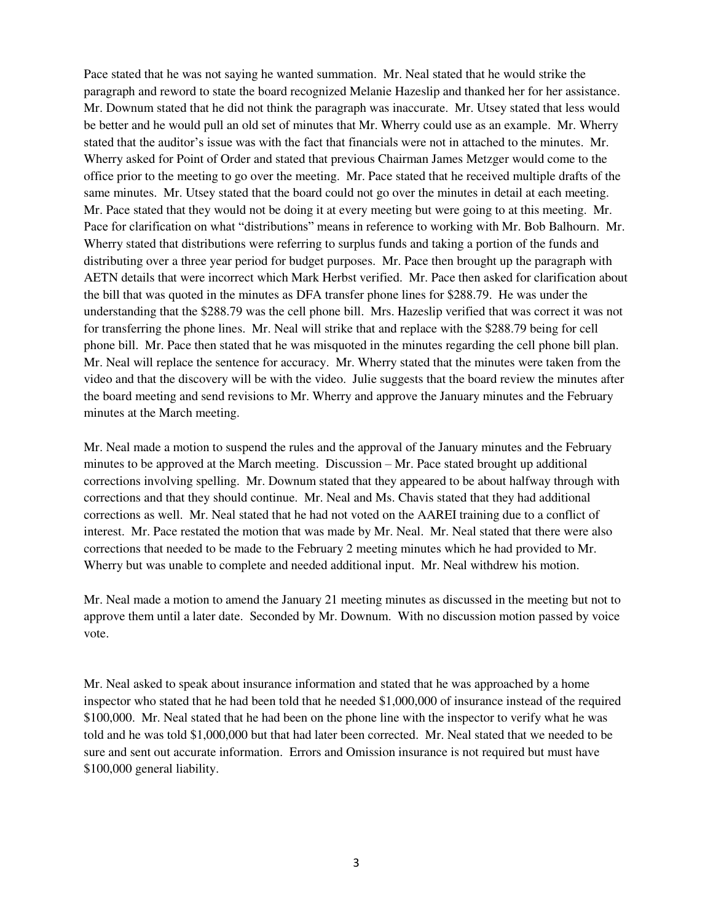Pace stated that he was not saying he wanted summation. Mr. Neal stated that he would strike the paragraph and reword to state the board recognized Melanie Hazeslip and thanked her for her assistance. Mr. Downum stated that he did not think the paragraph was inaccurate. Mr. Utsey stated that less would be better and he would pull an old set of minutes that Mr. Wherry could use as an example. Mr. Wherry stated that the auditor's issue was with the fact that financials were not in attached to the minutes. Mr. Wherry asked for Point of Order and stated that previous Chairman James Metzger would come to the office prior to the meeting to go over the meeting. Mr. Pace stated that he received multiple drafts of the same minutes. Mr. Utsey stated that the board could not go over the minutes in detail at each meeting. Mr. Pace stated that they would not be doing it at every meeting but were going to at this meeting. Mr. Pace for clarification on what "distributions" means in reference to working with Mr. Bob Balhourn. Mr. Wherry stated that distributions were referring to surplus funds and taking a portion of the funds and distributing over a three year period for budget purposes. Mr. Pace then brought up the paragraph with AETN details that were incorrect which Mark Herbst verified. Mr. Pace then asked for clarification about the bill that was quoted in the minutes as DFA transfer phone lines for \$288.79. He was under the understanding that the \$288.79 was the cell phone bill. Mrs. Hazeslip verified that was correct it was not for transferring the phone lines. Mr. Neal will strike that and replace with the \$288.79 being for cell phone bill. Mr. Pace then stated that he was misquoted in the minutes regarding the cell phone bill plan. Mr. Neal will replace the sentence for accuracy. Mr. Wherry stated that the minutes were taken from the video and that the discovery will be with the video. Julie suggests that the board review the minutes after the board meeting and send revisions to Mr. Wherry and approve the January minutes and the February minutes at the March meeting.

Mr. Neal made a motion to suspend the rules and the approval of the January minutes and the February minutes to be approved at the March meeting. Discussion – Mr. Pace stated brought up additional corrections involving spelling. Mr. Downum stated that they appeared to be about halfway through with corrections and that they should continue. Mr. Neal and Ms. Chavis stated that they had additional corrections as well. Mr. Neal stated that he had not voted on the AAREI training due to a conflict of interest. Mr. Pace restated the motion that was made by Mr. Neal. Mr. Neal stated that there were also corrections that needed to be made to the February 2 meeting minutes which he had provided to Mr. Wherry but was unable to complete and needed additional input. Mr. Neal withdrew his motion.

Mr. Neal made a motion to amend the January 21 meeting minutes as discussed in the meeting but not to approve them until a later date. Seconded by Mr. Downum. With no discussion motion passed by voice vote.

Mr. Neal asked to speak about insurance information and stated that he was approached by a home inspector who stated that he had been told that he needed \$1,000,000 of insurance instead of the required \$100,000. Mr. Neal stated that he had been on the phone line with the inspector to verify what he was told and he was told \$1,000,000 but that had later been corrected. Mr. Neal stated that we needed to be sure and sent out accurate information. Errors and Omission insurance is not required but must have \$100,000 general liability.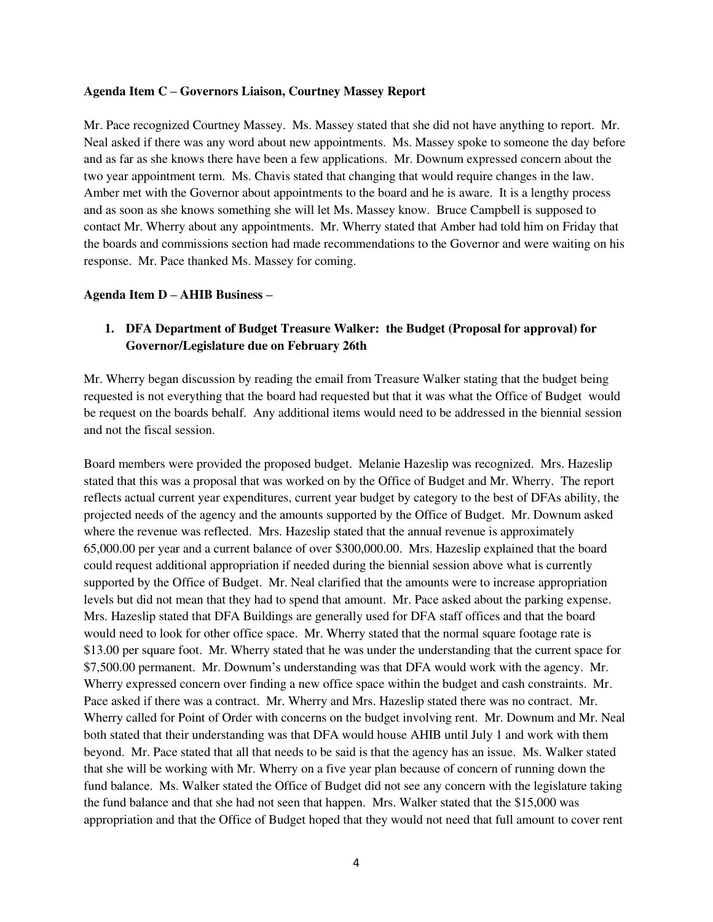#### **Agenda Item C – Governors Liaison, Courtney Massey Report**

Mr. Pace recognized Courtney Massey. Ms. Massey stated that she did not have anything to report. Mr. Neal asked if there was any word about new appointments. Ms. Massey spoke to someone the day before and as far as she knows there have been a few applications. Mr. Downum expressed concern about the two year appointment term. Ms. Chavis stated that changing that would require changes in the law. Amber met with the Governor about appointments to the board and he is aware. It is a lengthy process and as soon as she knows something she will let Ms. Massey know. Bruce Campbell is supposed to contact Mr. Wherry about any appointments. Mr. Wherry stated that Amber had told him on Friday that the boards and commissions section had made recommendations to the Governor and were waiting on his response. Mr. Pace thanked Ms. Massey for coming.

#### **Agenda Item D – AHIB Business –**

## **1. DFA Department of Budget Treasure Walker: the Budget (Proposal for approval) for Governor/Legislature due on February 26th**

Mr. Wherry began discussion by reading the email from Treasure Walker stating that the budget being requested is not everything that the board had requested but that it was what the Office of Budget would be request on the boards behalf. Any additional items would need to be addressed in the biennial session and not the fiscal session.

Board members were provided the proposed budget. Melanie Hazeslip was recognized. Mrs. Hazeslip stated that this was a proposal that was worked on by the Office of Budget and Mr. Wherry. The report reflects actual current year expenditures, current year budget by category to the best of DFAs ability, the projected needs of the agency and the amounts supported by the Office of Budget. Mr. Downum asked where the revenue was reflected. Mrs. Hazeslip stated that the annual revenue is approximately 65,000.00 per year and a current balance of over \$300,000.00. Mrs. Hazeslip explained that the board could request additional appropriation if needed during the biennial session above what is currently supported by the Office of Budget. Mr. Neal clarified that the amounts were to increase appropriation levels but did not mean that they had to spend that amount. Mr. Pace asked about the parking expense. Mrs. Hazeslip stated that DFA Buildings are generally used for DFA staff offices and that the board would need to look for other office space. Mr. Wherry stated that the normal square footage rate is \$13.00 per square foot. Mr. Wherry stated that he was under the understanding that the current space for \$7,500.00 permanent. Mr. Downum's understanding was that DFA would work with the agency. Mr. Wherry expressed concern over finding a new office space within the budget and cash constraints. Mr. Pace asked if there was a contract. Mr. Wherry and Mrs. Hazeslip stated there was no contract. Mr. Wherry called for Point of Order with concerns on the budget involving rent. Mr. Downum and Mr. Neal both stated that their understanding was that DFA would house AHIB until July 1 and work with them beyond. Mr. Pace stated that all that needs to be said is that the agency has an issue. Ms. Walker stated that she will be working with Mr. Wherry on a five year plan because of concern of running down the fund balance. Ms. Walker stated the Office of Budget did not see any concern with the legislature taking the fund balance and that she had not seen that happen. Mrs. Walker stated that the \$15,000 was appropriation and that the Office of Budget hoped that they would not need that full amount to cover rent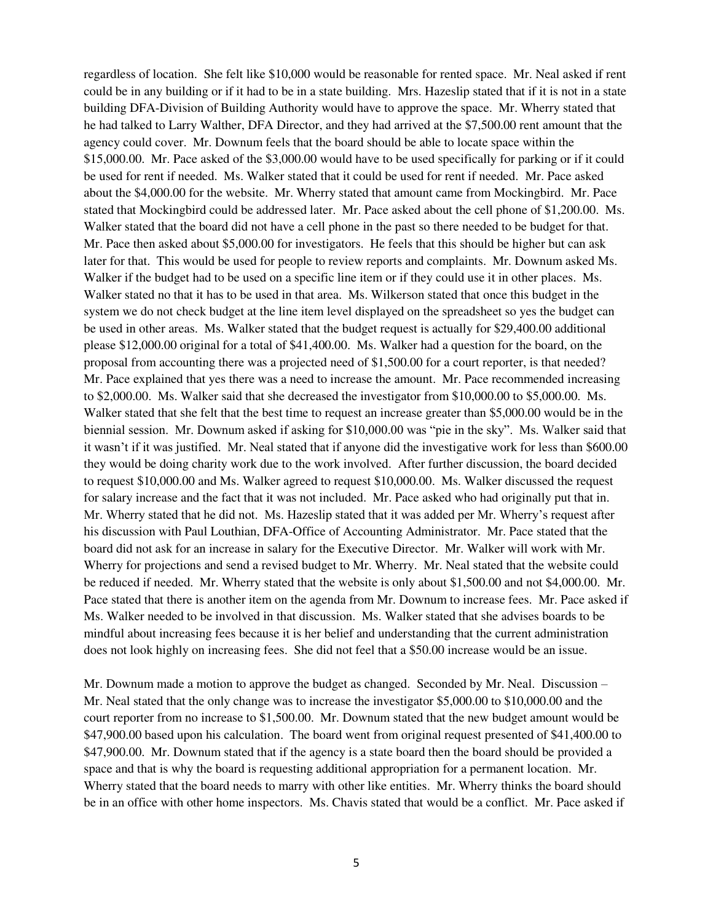regardless of location. She felt like \$10,000 would be reasonable for rented space. Mr. Neal asked if rent could be in any building or if it had to be in a state building. Mrs. Hazeslip stated that if it is not in a state building DFA-Division of Building Authority would have to approve the space. Mr. Wherry stated that he had talked to Larry Walther, DFA Director, and they had arrived at the \$7,500.00 rent amount that the agency could cover. Mr. Downum feels that the board should be able to locate space within the \$15,000.00. Mr. Pace asked of the \$3,000.00 would have to be used specifically for parking or if it could be used for rent if needed. Ms. Walker stated that it could be used for rent if needed. Mr. Pace asked about the \$4,000.00 for the website. Mr. Wherry stated that amount came from Mockingbird. Mr. Pace stated that Mockingbird could be addressed later. Mr. Pace asked about the cell phone of \$1,200.00. Ms. Walker stated that the board did not have a cell phone in the past so there needed to be budget for that. Mr. Pace then asked about \$5,000.00 for investigators. He feels that this should be higher but can ask later for that. This would be used for people to review reports and complaints. Mr. Downum asked Ms. Walker if the budget had to be used on a specific line item or if they could use it in other places. Ms. Walker stated no that it has to be used in that area. Ms. Wilkerson stated that once this budget in the system we do not check budget at the line item level displayed on the spreadsheet so yes the budget can be used in other areas. Ms. Walker stated that the budget request is actually for \$29,400.00 additional please \$12,000.00 original for a total of \$41,400.00. Ms. Walker had a question for the board, on the proposal from accounting there was a projected need of \$1,500.00 for a court reporter, is that needed? Mr. Pace explained that yes there was a need to increase the amount. Mr. Pace recommended increasing to \$2,000.00. Ms. Walker said that she decreased the investigator from \$10,000.00 to \$5,000.00. Ms. Walker stated that she felt that the best time to request an increase greater than \$5,000.00 would be in the biennial session. Mr. Downum asked if asking for \$10,000.00 was "pie in the sky". Ms. Walker said that it wasn't if it was justified. Mr. Neal stated that if anyone did the investigative work for less than \$600.00 they would be doing charity work due to the work involved. After further discussion, the board decided to request \$10,000.00 and Ms. Walker agreed to request \$10,000.00. Ms. Walker discussed the request for salary increase and the fact that it was not included. Mr. Pace asked who had originally put that in. Mr. Wherry stated that he did not. Ms. Hazeslip stated that it was added per Mr. Wherry's request after his discussion with Paul Louthian, DFA-Office of Accounting Administrator. Mr. Pace stated that the board did not ask for an increase in salary for the Executive Director. Mr. Walker will work with Mr. Wherry for projections and send a revised budget to Mr. Wherry. Mr. Neal stated that the website could be reduced if needed. Mr. Wherry stated that the website is only about \$1,500.00 and not \$4,000.00. Mr. Pace stated that there is another item on the agenda from Mr. Downum to increase fees. Mr. Pace asked if Ms. Walker needed to be involved in that discussion. Ms. Walker stated that she advises boards to be mindful about increasing fees because it is her belief and understanding that the current administration does not look highly on increasing fees. She did not feel that a \$50.00 increase would be an issue.

Mr. Downum made a motion to approve the budget as changed. Seconded by Mr. Neal. Discussion – Mr. Neal stated that the only change was to increase the investigator \$5,000.00 to \$10,000.00 and the court reporter from no increase to \$1,500.00. Mr. Downum stated that the new budget amount would be \$47,900.00 based upon his calculation. The board went from original request presented of \$41,400.00 to \$47,900.00. Mr. Downum stated that if the agency is a state board then the board should be provided a space and that is why the board is requesting additional appropriation for a permanent location. Mr. Wherry stated that the board needs to marry with other like entities. Mr. Wherry thinks the board should be in an office with other home inspectors. Ms. Chavis stated that would be a conflict. Mr. Pace asked if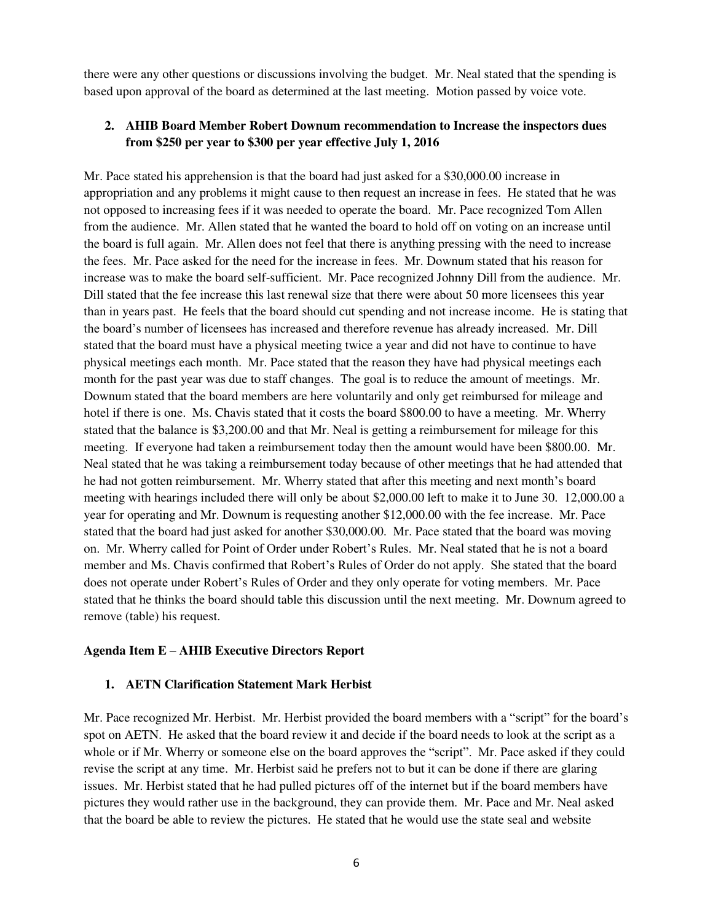there were any other questions or discussions involving the budget. Mr. Neal stated that the spending is based upon approval of the board as determined at the last meeting. Motion passed by voice vote.

### **2. AHIB Board Member Robert Downum recommendation to Increase the inspectors dues from \$250 per year to \$300 per year effective July 1, 2016**

Mr. Pace stated his apprehension is that the board had just asked for a \$30,000.00 increase in appropriation and any problems it might cause to then request an increase in fees. He stated that he was not opposed to increasing fees if it was needed to operate the board. Mr. Pace recognized Tom Allen from the audience. Mr. Allen stated that he wanted the board to hold off on voting on an increase until the board is full again. Mr. Allen does not feel that there is anything pressing with the need to increase the fees. Mr. Pace asked for the need for the increase in fees. Mr. Downum stated that his reason for increase was to make the board self-sufficient. Mr. Pace recognized Johnny Dill from the audience. Mr. Dill stated that the fee increase this last renewal size that there were about 50 more licensees this year than in years past. He feels that the board should cut spending and not increase income. He is stating that the board's number of licensees has increased and therefore revenue has already increased. Mr. Dill stated that the board must have a physical meeting twice a year and did not have to continue to have physical meetings each month. Mr. Pace stated that the reason they have had physical meetings each month for the past year was due to staff changes. The goal is to reduce the amount of meetings. Mr. Downum stated that the board members are here voluntarily and only get reimbursed for mileage and hotel if there is one. Ms. Chavis stated that it costs the board \$800.00 to have a meeting. Mr. Wherry stated that the balance is \$3,200.00 and that Mr. Neal is getting a reimbursement for mileage for this meeting. If everyone had taken a reimbursement today then the amount would have been \$800.00. Mr. Neal stated that he was taking a reimbursement today because of other meetings that he had attended that he had not gotten reimbursement. Mr. Wherry stated that after this meeting and next month's board meeting with hearings included there will only be about \$2,000.00 left to make it to June 30. 12,000.00 a year for operating and Mr. Downum is requesting another \$12,000.00 with the fee increase. Mr. Pace stated that the board had just asked for another \$30,000.00. Mr. Pace stated that the board was moving on. Mr. Wherry called for Point of Order under Robert's Rules. Mr. Neal stated that he is not a board member and Ms. Chavis confirmed that Robert's Rules of Order do not apply. She stated that the board does not operate under Robert's Rules of Order and they only operate for voting members. Mr. Pace stated that he thinks the board should table this discussion until the next meeting. Mr. Downum agreed to remove (table) his request.

#### **Agenda Item E – AHIB Executive Directors Report**

#### **1. AETN Clarification Statement Mark Herbist**

Mr. Pace recognized Mr. Herbist. Mr. Herbist provided the board members with a "script" for the board's spot on AETN. He asked that the board review it and decide if the board needs to look at the script as a whole or if Mr. Wherry or someone else on the board approves the "script". Mr. Pace asked if they could revise the script at any time. Mr. Herbist said he prefers not to but it can be done if there are glaring issues. Mr. Herbist stated that he had pulled pictures off of the internet but if the board members have pictures they would rather use in the background, they can provide them. Mr. Pace and Mr. Neal asked that the board be able to review the pictures. He stated that he would use the state seal and website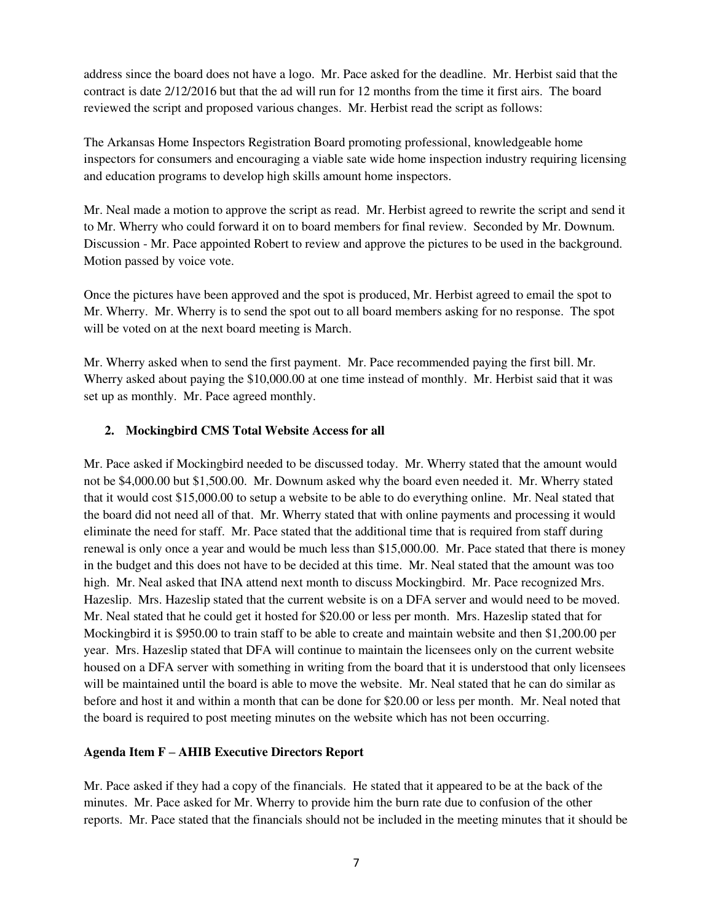address since the board does not have a logo. Mr. Pace asked for the deadline. Mr. Herbist said that the contract is date 2/12/2016 but that the ad will run for 12 months from the time it first airs. The board reviewed the script and proposed various changes. Mr. Herbist read the script as follows:

The Arkansas Home Inspectors Registration Board promoting professional, knowledgeable home inspectors for consumers and encouraging a viable sate wide home inspection industry requiring licensing and education programs to develop high skills amount home inspectors.

Mr. Neal made a motion to approve the script as read. Mr. Herbist agreed to rewrite the script and send it to Mr. Wherry who could forward it on to board members for final review. Seconded by Mr. Downum. Discussion - Mr. Pace appointed Robert to review and approve the pictures to be used in the background. Motion passed by voice vote.

Once the pictures have been approved and the spot is produced, Mr. Herbist agreed to email the spot to Mr. Wherry. Mr. Wherry is to send the spot out to all board members asking for no response. The spot will be voted on at the next board meeting is March.

Mr. Wherry asked when to send the first payment. Mr. Pace recommended paying the first bill. Mr. Wherry asked about paying the \$10,000.00 at one time instead of monthly. Mr. Herbist said that it was set up as monthly. Mr. Pace agreed monthly.

### **2. Mockingbird CMS Total Website Access for all**

Mr. Pace asked if Mockingbird needed to be discussed today. Mr. Wherry stated that the amount would not be \$4,000.00 but \$1,500.00. Mr. Downum asked why the board even needed it. Mr. Wherry stated that it would cost \$15,000.00 to setup a website to be able to do everything online. Mr. Neal stated that the board did not need all of that. Mr. Wherry stated that with online payments and processing it would eliminate the need for staff. Mr. Pace stated that the additional time that is required from staff during renewal is only once a year and would be much less than \$15,000.00. Mr. Pace stated that there is money in the budget and this does not have to be decided at this time. Mr. Neal stated that the amount was too high. Mr. Neal asked that INA attend next month to discuss Mockingbird. Mr. Pace recognized Mrs. Hazeslip. Mrs. Hazeslip stated that the current website is on a DFA server and would need to be moved. Mr. Neal stated that he could get it hosted for \$20.00 or less per month. Mrs. Hazeslip stated that for Mockingbird it is \$950.00 to train staff to be able to create and maintain website and then \$1,200.00 per year. Mrs. Hazeslip stated that DFA will continue to maintain the licensees only on the current website housed on a DFA server with something in writing from the board that it is understood that only licensees will be maintained until the board is able to move the website. Mr. Neal stated that he can do similar as before and host it and within a month that can be done for \$20.00 or less per month. Mr. Neal noted that the board is required to post meeting minutes on the website which has not been occurring.

### **Agenda Item F – AHIB Executive Directors Report**

Mr. Pace asked if they had a copy of the financials. He stated that it appeared to be at the back of the minutes. Mr. Pace asked for Mr. Wherry to provide him the burn rate due to confusion of the other reports. Mr. Pace stated that the financials should not be included in the meeting minutes that it should be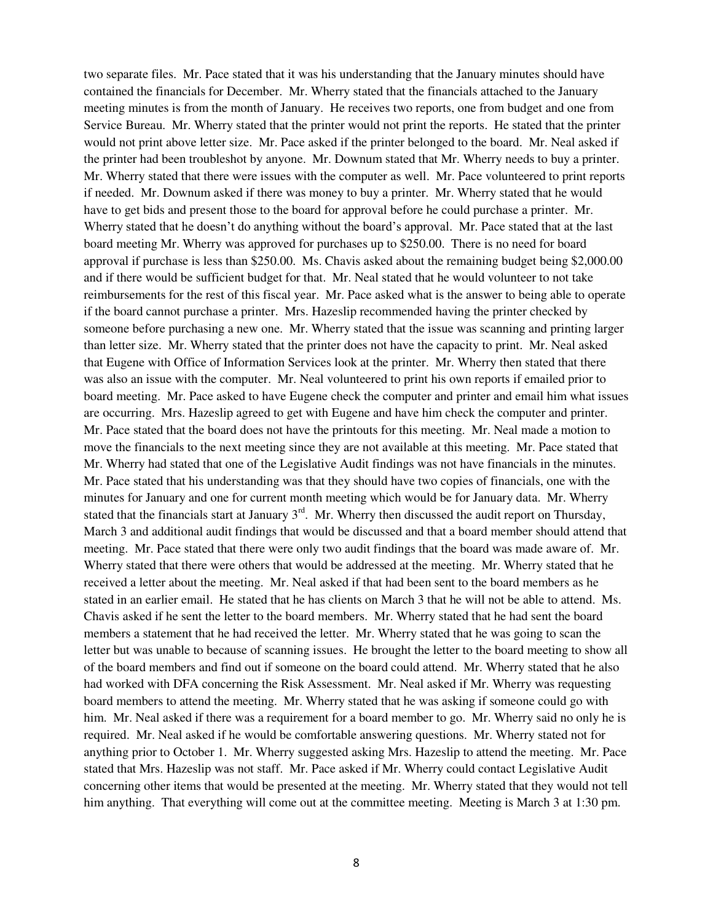two separate files. Mr. Pace stated that it was his understanding that the January minutes should have contained the financials for December. Mr. Wherry stated that the financials attached to the January meeting minutes is from the month of January. He receives two reports, one from budget and one from Service Bureau. Mr. Wherry stated that the printer would not print the reports. He stated that the printer would not print above letter size. Mr. Pace asked if the printer belonged to the board. Mr. Neal asked if the printer had been troubleshot by anyone. Mr. Downum stated that Mr. Wherry needs to buy a printer. Mr. Wherry stated that there were issues with the computer as well. Mr. Pace volunteered to print reports if needed. Mr. Downum asked if there was money to buy a printer. Mr. Wherry stated that he would have to get bids and present those to the board for approval before he could purchase a printer. Mr. Wherry stated that he doesn't do anything without the board's approval. Mr. Pace stated that at the last board meeting Mr. Wherry was approved for purchases up to \$250.00. There is no need for board approval if purchase is less than \$250.00. Ms. Chavis asked about the remaining budget being \$2,000.00 and if there would be sufficient budget for that. Mr. Neal stated that he would volunteer to not take reimbursements for the rest of this fiscal year. Mr. Pace asked what is the answer to being able to operate if the board cannot purchase a printer. Mrs. Hazeslip recommended having the printer checked by someone before purchasing a new one. Mr. Wherry stated that the issue was scanning and printing larger than letter size. Mr. Wherry stated that the printer does not have the capacity to print. Mr. Neal asked that Eugene with Office of Information Services look at the printer. Mr. Wherry then stated that there was also an issue with the computer. Mr. Neal volunteered to print his own reports if emailed prior to board meeting. Mr. Pace asked to have Eugene check the computer and printer and email him what issues are occurring. Mrs. Hazeslip agreed to get with Eugene and have him check the computer and printer. Mr. Pace stated that the board does not have the printouts for this meeting. Mr. Neal made a motion to move the financials to the next meeting since they are not available at this meeting. Mr. Pace stated that Mr. Wherry had stated that one of the Legislative Audit findings was not have financials in the minutes. Mr. Pace stated that his understanding was that they should have two copies of financials, one with the minutes for January and one for current month meeting which would be for January data. Mr. Wherry stated that the financials start at January  $3<sup>rd</sup>$ . Mr. Wherry then discussed the audit report on Thursday, March 3 and additional audit findings that would be discussed and that a board member should attend that meeting. Mr. Pace stated that there were only two audit findings that the board was made aware of. Mr. Wherry stated that there were others that would be addressed at the meeting. Mr. Wherry stated that he received a letter about the meeting. Mr. Neal asked if that had been sent to the board members as he stated in an earlier email. He stated that he has clients on March 3 that he will not be able to attend. Ms. Chavis asked if he sent the letter to the board members. Mr. Wherry stated that he had sent the board members a statement that he had received the letter. Mr. Wherry stated that he was going to scan the letter but was unable to because of scanning issues. He brought the letter to the board meeting to show all of the board members and find out if someone on the board could attend. Mr. Wherry stated that he also had worked with DFA concerning the Risk Assessment. Mr. Neal asked if Mr. Wherry was requesting board members to attend the meeting. Mr. Wherry stated that he was asking if someone could go with him. Mr. Neal asked if there was a requirement for a board member to go. Mr. Wherry said no only he is required. Mr. Neal asked if he would be comfortable answering questions. Mr. Wherry stated not for anything prior to October 1. Mr. Wherry suggested asking Mrs. Hazeslip to attend the meeting. Mr. Pace stated that Mrs. Hazeslip was not staff. Mr. Pace asked if Mr. Wherry could contact Legislative Audit concerning other items that would be presented at the meeting. Mr. Wherry stated that they would not tell him anything. That everything will come out at the committee meeting. Meeting is March 3 at 1:30 pm.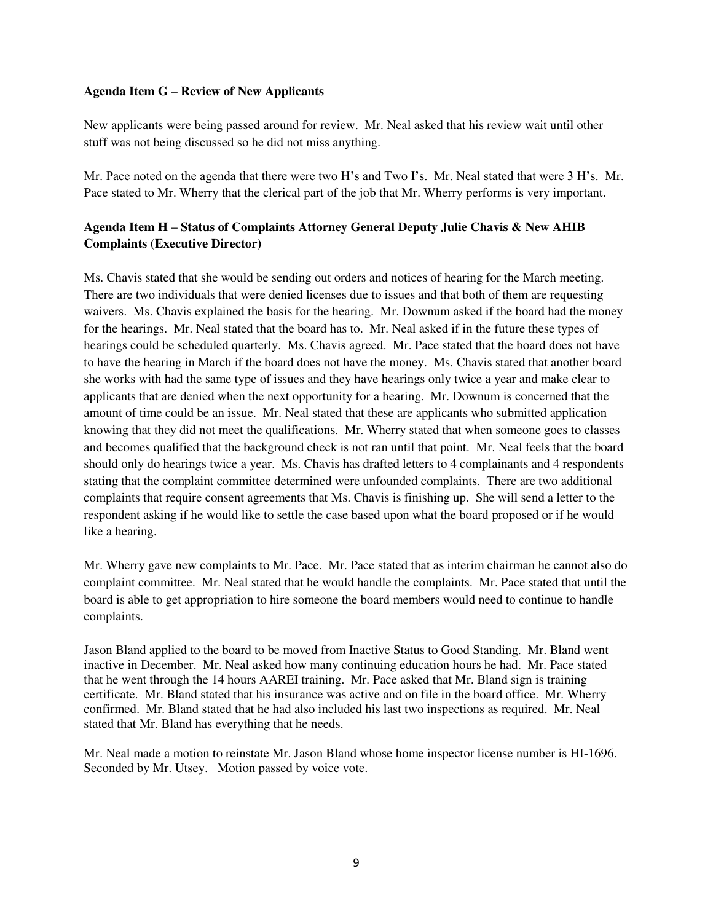#### **Agenda Item G – Review of New Applicants**

New applicants were being passed around for review. Mr. Neal asked that his review wait until other stuff was not being discussed so he did not miss anything.

Mr. Pace noted on the agenda that there were two H's and Two I's. Mr. Neal stated that were 3 H's. Mr. Pace stated to Mr. Wherry that the clerical part of the job that Mr. Wherry performs is very important.

## **Agenda Item H – Status of Complaints Attorney General Deputy Julie Chavis & New AHIB Complaints (Executive Director)**

Ms. Chavis stated that she would be sending out orders and notices of hearing for the March meeting. There are two individuals that were denied licenses due to issues and that both of them are requesting waivers. Ms. Chavis explained the basis for the hearing. Mr. Downum asked if the board had the money for the hearings. Mr. Neal stated that the board has to. Mr. Neal asked if in the future these types of hearings could be scheduled quarterly. Ms. Chavis agreed. Mr. Pace stated that the board does not have to have the hearing in March if the board does not have the money. Ms. Chavis stated that another board she works with had the same type of issues and they have hearings only twice a year and make clear to applicants that are denied when the next opportunity for a hearing. Mr. Downum is concerned that the amount of time could be an issue. Mr. Neal stated that these are applicants who submitted application knowing that they did not meet the qualifications. Mr. Wherry stated that when someone goes to classes and becomes qualified that the background check is not ran until that point. Mr. Neal feels that the board should only do hearings twice a year. Ms. Chavis has drafted letters to 4 complainants and 4 respondents stating that the complaint committee determined were unfounded complaints. There are two additional complaints that require consent agreements that Ms. Chavis is finishing up. She will send a letter to the respondent asking if he would like to settle the case based upon what the board proposed or if he would like a hearing.

Mr. Wherry gave new complaints to Mr. Pace. Mr. Pace stated that as interim chairman he cannot also do complaint committee. Mr. Neal stated that he would handle the complaints. Mr. Pace stated that until the board is able to get appropriation to hire someone the board members would need to continue to handle complaints.

Jason Bland applied to the board to be moved from Inactive Status to Good Standing. Mr. Bland went inactive in December. Mr. Neal asked how many continuing education hours he had. Mr. Pace stated that he went through the 14 hours AAREI training. Mr. Pace asked that Mr. Bland sign is training certificate. Mr. Bland stated that his insurance was active and on file in the board office. Mr. Wherry confirmed. Mr. Bland stated that he had also included his last two inspections as required. Mr. Neal stated that Mr. Bland has everything that he needs.

Mr. Neal made a motion to reinstate Mr. Jason Bland whose home inspector license number is HI-1696. Seconded by Mr. Utsey. Motion passed by voice vote.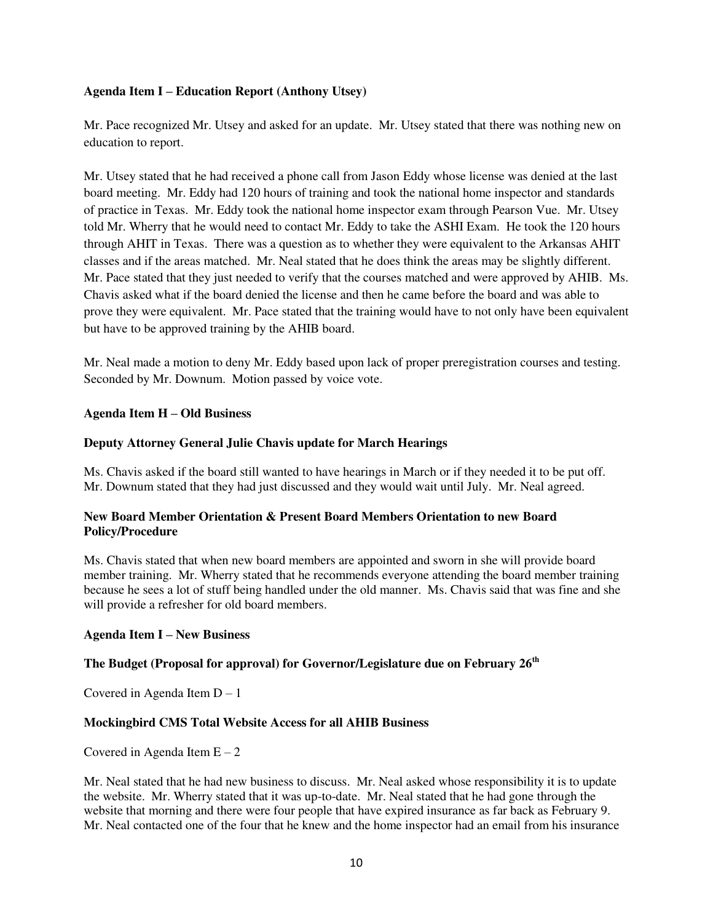### **Agenda Item I – Education Report (Anthony Utsey)**

Mr. Pace recognized Mr. Utsey and asked for an update. Mr. Utsey stated that there was nothing new on education to report.

Mr. Utsey stated that he had received a phone call from Jason Eddy whose license was denied at the last board meeting. Mr. Eddy had 120 hours of training and took the national home inspector and standards of practice in Texas. Mr. Eddy took the national home inspector exam through Pearson Vue. Mr. Utsey told Mr. Wherry that he would need to contact Mr. Eddy to take the ASHI Exam. He took the 120 hours through AHIT in Texas. There was a question as to whether they were equivalent to the Arkansas AHIT classes and if the areas matched. Mr. Neal stated that he does think the areas may be slightly different. Mr. Pace stated that they just needed to verify that the courses matched and were approved by AHIB. Ms. Chavis asked what if the board denied the license and then he came before the board and was able to prove they were equivalent. Mr. Pace stated that the training would have to not only have been equivalent but have to be approved training by the AHIB board.

Mr. Neal made a motion to deny Mr. Eddy based upon lack of proper preregistration courses and testing. Seconded by Mr. Downum. Motion passed by voice vote.

### **Agenda Item H – Old Business**

### **Deputy Attorney General Julie Chavis update for March Hearings**

Ms. Chavis asked if the board still wanted to have hearings in March or if they needed it to be put off. Mr. Downum stated that they had just discussed and they would wait until July. Mr. Neal agreed.

### **New Board Member Orientation & Present Board Members Orientation to new Board Policy/Procedure**

Ms. Chavis stated that when new board members are appointed and sworn in she will provide board member training. Mr. Wherry stated that he recommends everyone attending the board member training because he sees a lot of stuff being handled under the old manner. Ms. Chavis said that was fine and she will provide a refresher for old board members.

### **Agenda Item I – New Business**

### **The Budget (Proposal for approval) for Governor/Legislature due on February 26th**

Covered in Agenda Item  $D - 1$ 

## **Mockingbird CMS Total Website Access for all AHIB Business**

Covered in Agenda Item  $E - 2$ 

Mr. Neal stated that he had new business to discuss. Mr. Neal asked whose responsibility it is to update the website. Mr. Wherry stated that it was up-to-date. Mr. Neal stated that he had gone through the website that morning and there were four people that have expired insurance as far back as February 9. Mr. Neal contacted one of the four that he knew and the home inspector had an email from his insurance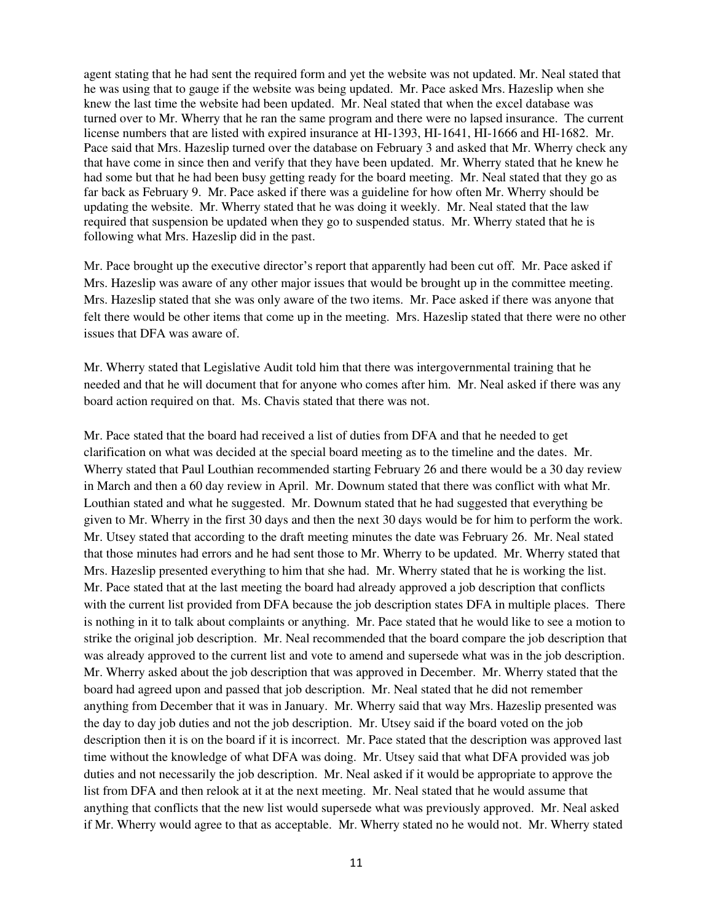agent stating that he had sent the required form and yet the website was not updated. Mr. Neal stated that he was using that to gauge if the website was being updated. Mr. Pace asked Mrs. Hazeslip when she knew the last time the website had been updated. Mr. Neal stated that when the excel database was turned over to Mr. Wherry that he ran the same program and there were no lapsed insurance. The current license numbers that are listed with expired insurance at HI-1393, HI-1641, HI-1666 and HI-1682. Mr. Pace said that Mrs. Hazeslip turned over the database on February 3 and asked that Mr. Wherry check any that have come in since then and verify that they have been updated. Mr. Wherry stated that he knew he had some but that he had been busy getting ready for the board meeting. Mr. Neal stated that they go as far back as February 9. Mr. Pace asked if there was a guideline for how often Mr. Wherry should be updating the website. Mr. Wherry stated that he was doing it weekly. Mr. Neal stated that the law required that suspension be updated when they go to suspended status. Mr. Wherry stated that he is following what Mrs. Hazeslip did in the past.

Mr. Pace brought up the executive director's report that apparently had been cut off. Mr. Pace asked if Mrs. Hazeslip was aware of any other major issues that would be brought up in the committee meeting. Mrs. Hazeslip stated that she was only aware of the two items. Mr. Pace asked if there was anyone that felt there would be other items that come up in the meeting. Mrs. Hazeslip stated that there were no other issues that DFA was aware of.

Mr. Wherry stated that Legislative Audit told him that there was intergovernmental training that he needed and that he will document that for anyone who comes after him. Mr. Neal asked if there was any board action required on that. Ms. Chavis stated that there was not.

Mr. Pace stated that the board had received a list of duties from DFA and that he needed to get clarification on what was decided at the special board meeting as to the timeline and the dates. Mr. Wherry stated that Paul Louthian recommended starting February 26 and there would be a 30 day review in March and then a 60 day review in April. Mr. Downum stated that there was conflict with what Mr. Louthian stated and what he suggested. Mr. Downum stated that he had suggested that everything be given to Mr. Wherry in the first 30 days and then the next 30 days would be for him to perform the work. Mr. Utsey stated that according to the draft meeting minutes the date was February 26. Mr. Neal stated that those minutes had errors and he had sent those to Mr. Wherry to be updated. Mr. Wherry stated that Mrs. Hazeslip presented everything to him that she had. Mr. Wherry stated that he is working the list. Mr. Pace stated that at the last meeting the board had already approved a job description that conflicts with the current list provided from DFA because the job description states DFA in multiple places. There is nothing in it to talk about complaints or anything. Mr. Pace stated that he would like to see a motion to strike the original job description. Mr. Neal recommended that the board compare the job description that was already approved to the current list and vote to amend and supersede what was in the job description. Mr. Wherry asked about the job description that was approved in December. Mr. Wherry stated that the board had agreed upon and passed that job description. Mr. Neal stated that he did not remember anything from December that it was in January. Mr. Wherry said that way Mrs. Hazeslip presented was the day to day job duties and not the job description. Mr. Utsey said if the board voted on the job description then it is on the board if it is incorrect. Mr. Pace stated that the description was approved last time without the knowledge of what DFA was doing. Mr. Utsey said that what DFA provided was job duties and not necessarily the job description. Mr. Neal asked if it would be appropriate to approve the list from DFA and then relook at it at the next meeting. Mr. Neal stated that he would assume that anything that conflicts that the new list would supersede what was previously approved. Mr. Neal asked if Mr. Wherry would agree to that as acceptable. Mr. Wherry stated no he would not. Mr. Wherry stated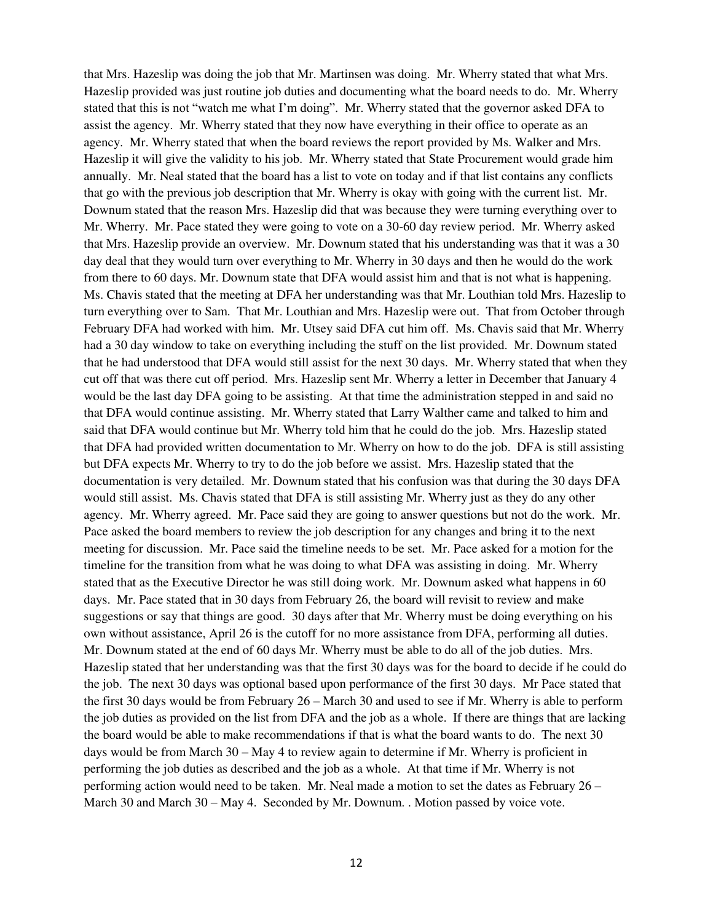that Mrs. Hazeslip was doing the job that Mr. Martinsen was doing. Mr. Wherry stated that what Mrs. Hazeslip provided was just routine job duties and documenting what the board needs to do. Mr. Wherry stated that this is not "watch me what I'm doing". Mr. Wherry stated that the governor asked DFA to assist the agency. Mr. Wherry stated that they now have everything in their office to operate as an agency. Mr. Wherry stated that when the board reviews the report provided by Ms. Walker and Mrs. Hazeslip it will give the validity to his job. Mr. Wherry stated that State Procurement would grade him annually. Mr. Neal stated that the board has a list to vote on today and if that list contains any conflicts that go with the previous job description that Mr. Wherry is okay with going with the current list. Mr. Downum stated that the reason Mrs. Hazeslip did that was because they were turning everything over to Mr. Wherry. Mr. Pace stated they were going to vote on a 30-60 day review period. Mr. Wherry asked that Mrs. Hazeslip provide an overview. Mr. Downum stated that his understanding was that it was a 30 day deal that they would turn over everything to Mr. Wherry in 30 days and then he would do the work from there to 60 days. Mr. Downum state that DFA would assist him and that is not what is happening. Ms. Chavis stated that the meeting at DFA her understanding was that Mr. Louthian told Mrs. Hazeslip to turn everything over to Sam. That Mr. Louthian and Mrs. Hazeslip were out. That from October through February DFA had worked with him. Mr. Utsey said DFA cut him off. Ms. Chavis said that Mr. Wherry had a 30 day window to take on everything including the stuff on the list provided. Mr. Downum stated that he had understood that DFA would still assist for the next 30 days. Mr. Wherry stated that when they cut off that was there cut off period. Mrs. Hazeslip sent Mr. Wherry a letter in December that January 4 would be the last day DFA going to be assisting. At that time the administration stepped in and said no that DFA would continue assisting. Mr. Wherry stated that Larry Walther came and talked to him and said that DFA would continue but Mr. Wherry told him that he could do the job. Mrs. Hazeslip stated that DFA had provided written documentation to Mr. Wherry on how to do the job. DFA is still assisting but DFA expects Mr. Wherry to try to do the job before we assist. Mrs. Hazeslip stated that the documentation is very detailed. Mr. Downum stated that his confusion was that during the 30 days DFA would still assist. Ms. Chavis stated that DFA is still assisting Mr. Wherry just as they do any other agency. Mr. Wherry agreed. Mr. Pace said they are going to answer questions but not do the work. Mr. Pace asked the board members to review the job description for any changes and bring it to the next meeting for discussion. Mr. Pace said the timeline needs to be set. Mr. Pace asked for a motion for the timeline for the transition from what he was doing to what DFA was assisting in doing. Mr. Wherry stated that as the Executive Director he was still doing work. Mr. Downum asked what happens in 60 days. Mr. Pace stated that in 30 days from February 26, the board will revisit to review and make suggestions or say that things are good. 30 days after that Mr. Wherry must be doing everything on his own without assistance, April 26 is the cutoff for no more assistance from DFA, performing all duties. Mr. Downum stated at the end of 60 days Mr. Wherry must be able to do all of the job duties. Mrs. Hazeslip stated that her understanding was that the first 30 days was for the board to decide if he could do the job. The next 30 days was optional based upon performance of the first 30 days. Mr Pace stated that the first 30 days would be from February 26 – March 30 and used to see if Mr. Wherry is able to perform the job duties as provided on the list from DFA and the job as a whole. If there are things that are lacking the board would be able to make recommendations if that is what the board wants to do. The next 30 days would be from March 30 – May 4 to review again to determine if Mr. Wherry is proficient in performing the job duties as described and the job as a whole. At that time if Mr. Wherry is not performing action would need to be taken. Mr. Neal made a motion to set the dates as February 26 – March 30 and March 30 – May 4. Seconded by Mr. Downum. . Motion passed by voice vote.